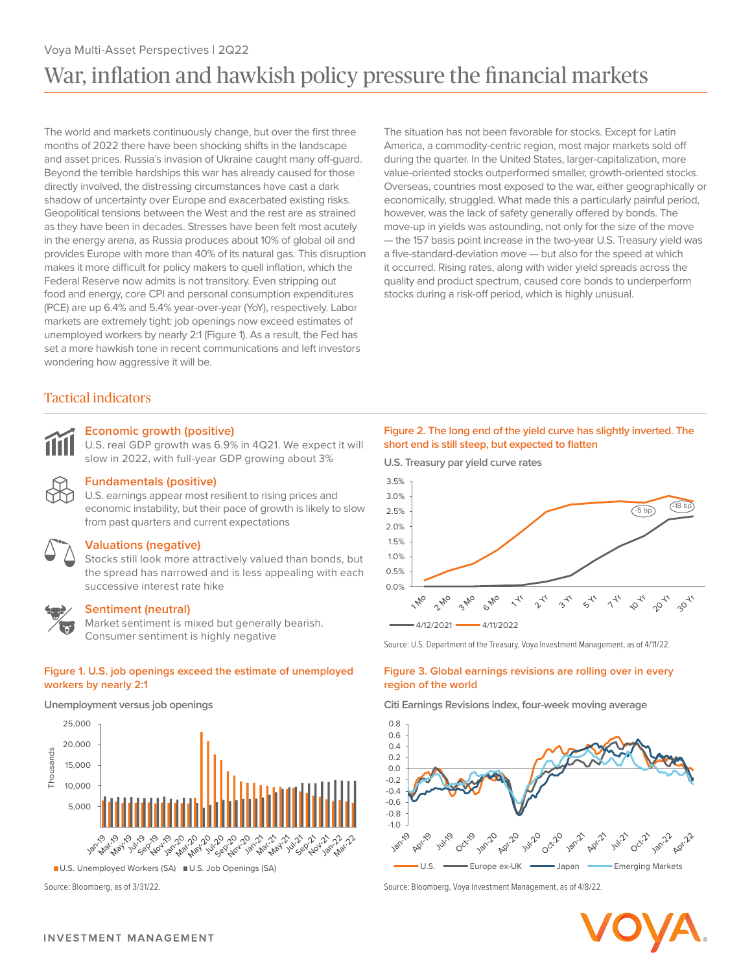# Voya Multi-Asset Perspectives | 2Q22 War, inflation and hawkish policy pressure the financial markets

The world and markets continuously change, but over the first three months of 2022 there have been shocking shifts in the landscape and asset prices. Russia's invasion of Ukraine caught many off-guard. Beyond the terrible hardships this war has already caused for those directly involved, the distressing circumstances have cast a dark shadow of uncertainty over Europe and exacerbated existing risks. Geopolitical tensions between the West and the rest are as strained as they have been in decades. Stresses have been felt most acutely in the energy arena, as Russia produces about 10% of global oil and provides Europe with more than 40% of its natural gas. This disruption makes it more difficult for policy makers to quell inflation, which the Federal Reserve now admits is not transitory. Even stripping out food and energy, core CPI and personal consumption expenditures (PCE) are up 6.4% and 5.4% year-over-year (YoY), respectively. Labor markets are extremely tight: job openings now exceed estimates of unemployed workers by nearly 2:1 (Figure 1). As a result, the Fed has set a more hawkish tone in recent communications and left investors wondering how aggressive it will be.

The situation has not been favorable for stocks. Except for Latin America, a commodity-centric region, most major markets sold off during the quarter. In the United States, larger-capitalization, more value-oriented stocks outperformed smaller, growth-oriented stocks. Overseas, countries most exposed to the war, either geographically or economically, struggled. What made this a particularly painful period, however, was the lack of safety generally offered by bonds. The move-up in yields was astounding, not only for the size of the move — the 157 basis point increase in the two-year U.S. Treasury yield was a five-standard-deviation move — but also for the speed at which it occurred. Rising rates, along with wider yield spreads across the quality and product spectrum, caused core bonds to underperform stocks during a risk-off period, which is highly unusual.

# Tactical indicators

### **Economic growth (positive)**

U.S. real GDP growth was 6.9% in 4Q21. We expect it will slow in 2022, with full-year GDP growing about 3%



### **Fundamentals (positive)**

U.S. earnings appear most resilient to rising prices and economic instability, but their pace of growth is likely to slow from past quarters and current expectations

### **Valuations (negative)**

Stocks still look more attractively valued than bonds, but the spread has narrowed and is less appealing with each successive interest rate hike



### **Sentiment (neutral)**

Market sentiment is mixed but generally bearish. Consumer sentiment is highly negative

### **Figure 1. U.S. job openings exceed the estimate of unemployed workers by nearly 2:1**



<sup>■</sup> U.S. Unemployed Workers (SA) ■ U.S. Job Openings (SA)

### **Figure 2. The long end of the yield curve has slightly inverted. The short end is still steep, but expected to flatten**

**U.S. Treasury par yield curve rates**



Source: U.S. Department of the Treasury, Voya Investment Management, as of 4/11/22.

### **Figure 3. Global earnings revisions are rolling over in every region of the world**

**Unemployment versus job openings Citi Earnings Revisions index, four-week moving average**



Source: Bloomberg, as of 3/31/22. Source: Bloomberg, Voya Investment Management, as of 4/8/22.

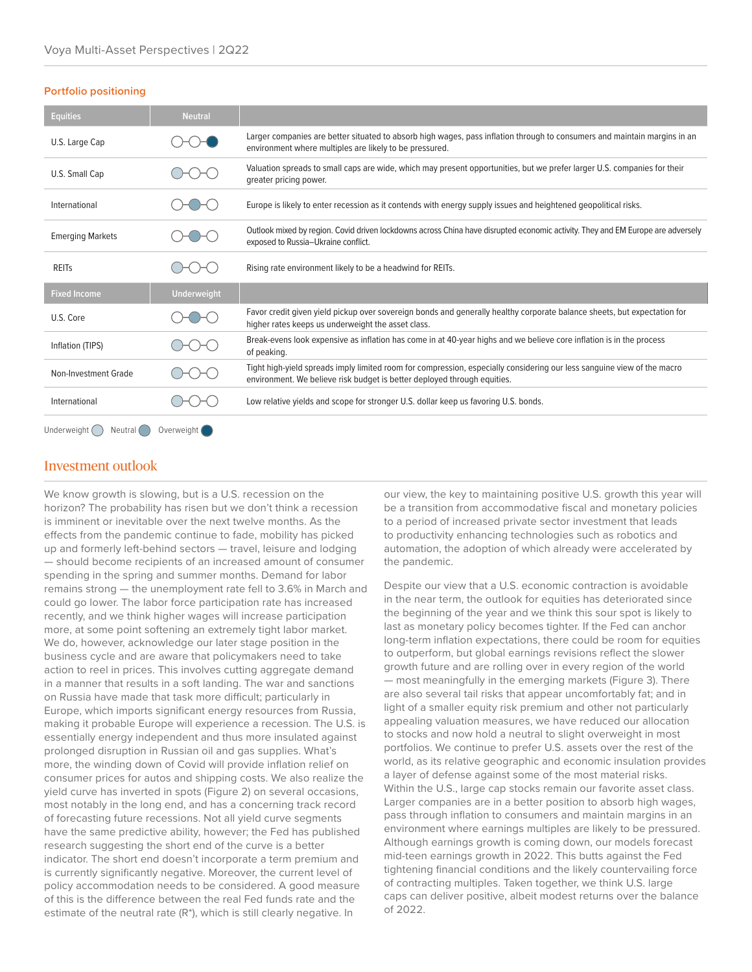### **Portfolio positioning**

| <b>Equities</b>                                | <b>Neutral</b>     |                                                                                                                                                                                                     |
|------------------------------------------------|--------------------|-----------------------------------------------------------------------------------------------------------------------------------------------------------------------------------------------------|
| U.S. Large Cap                                 |                    | Larger companies are better situated to absorb high wages, pass inflation through to consumers and maintain margins in an<br>environment where multiples are likely to be pressured.                |
| U.S. Small Cap                                 |                    | Valuation spreads to small caps are wide, which may present opportunities, but we prefer larger U.S. companies for their<br>greater pricing power.                                                  |
| International                                  |                    | Europe is likely to enter recession as it contends with energy supply issues and heightened geopolitical risks.                                                                                     |
| <b>Emerging Markets</b>                        |                    | Outlook mixed by region. Covid driven lockdowns across China have disrupted economic activity. They and EM Europe are adversely<br>exposed to Russia-Ukraine conflict.                              |
| <b>REITS</b>                                   |                    | Rising rate environment likely to be a headwind for REITs.                                                                                                                                          |
| <b>Fixed Income</b>                            | <b>Underweight</b> |                                                                                                                                                                                                     |
| U.S. Core                                      |                    | Favor credit given yield pickup over sovereign bonds and generally healthy corporate balance sheets, but expectation for<br>higher rates keeps us underweight the asset class.                      |
| Inflation (TIPS)                               |                    | Break-evens look expensive as inflation has come in at 40-year highs and we believe core inflation is in the process<br>of peaking.                                                                 |
| Non-Investment Grade                           |                    | Tight high-yield spreads imply limited room for compression, especially considering our less sanguine view of the macro<br>environment. We believe risk budget is better deployed through equities. |
| International                                  |                    | Low relative yields and scope for stronger U.S. dollar keep us favoring U.S. bonds.                                                                                                                 |
| Underweight (<br>$Neutral$ $($<br>Overweight ( |                    |                                                                                                                                                                                                     |

## Investment outlook

We know growth is slowing, but is a U.S. recession on the horizon? The probability has risen but we don't think a recession is imminent or inevitable over the next twelve months. As the effects from the pandemic continue to fade, mobility has picked up and formerly left-behind sectors — travel, leisure and lodging — should become recipients of an increased amount of consumer spending in the spring and summer months. Demand for labor remains strong — the unemployment rate fell to 3.6% in March and could go lower. The labor force participation rate has increased recently, and we think higher wages will increase participation more, at some point softening an extremely tight labor market. We do, however, acknowledge our later stage position in the business cycle and are aware that policymakers need to take action to reel in prices. This involves cutting aggregate demand in a manner that results in a soft landing. The war and sanctions on Russia have made that task more difficult; particularly in Europe, which imports significant energy resources from Russia, making it probable Europe will experience a recession. The U.S. is essentially energy independent and thus more insulated against prolonged disruption in Russian oil and gas supplies. What's more, the winding down of Covid will provide inflation relief on consumer prices for autos and shipping costs. We also realize the yield curve has inverted in spots (Figure 2) on several occasions, most notably in the long end, and has a concerning track record of forecasting future recessions. Not all yield curve segments have the same predictive ability, however; the Fed has published research suggesting the short end of the curve is a better indicator. The short end doesn't incorporate a term premium and is currently significantly negative. Moreover, the current level of policy accommodation needs to be considered. A good measure of this is the difference between the real Fed funds rate and the estimate of the neutral rate (R\*), which is still clearly negative. In

our view, the key to maintaining positive U.S. growth this year will be a transition from accommodative fiscal and monetary policies to a period of increased private sector investment that leads to productivity enhancing technologies such as robotics and automation, the adoption of which already were accelerated by the pandemic.

Despite our view that a U.S. economic contraction is avoidable in the near term, the outlook for equities has deteriorated since the beginning of the year and we think this sour spot is likely to last as monetary policy becomes tighter. If the Fed can anchor long-term inflation expectations, there could be room for equities to outperform, but global earnings revisions reflect the slower growth future and are rolling over in every region of the world — most meaningfully in the emerging markets (Figure 3). There are also several tail risks that appear uncomfortably fat; and in light of a smaller equity risk premium and other not particularly appealing valuation measures, we have reduced our allocation to stocks and now hold a neutral to slight overweight in most portfolios. We continue to prefer U.S. assets over the rest of the world, as its relative geographic and economic insulation provides a layer of defense against some of the most material risks. Within the U.S., large cap stocks remain our favorite asset class. Larger companies are in a better position to absorb high wages, pass through inflation to consumers and maintain margins in an environment where earnings multiples are likely to be pressured. Although earnings growth is coming down, our models forecast mid-teen earnings growth in 2022. This butts against the Fed tightening financial conditions and the likely countervailing force of contracting multiples. Taken together, we think U.S. large caps can deliver positive, albeit modest returns over the balance of 2022.